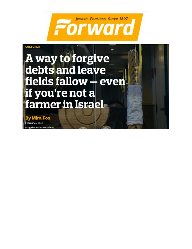Jewish. Fearless. Since 1897. Forward



ebruary 9, 2022

by Jessica Rosenber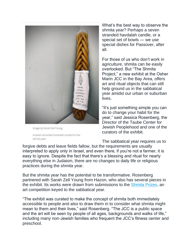

Image by Sarah Zell Young

A seven-stranded Havdalah candle for the shmita year.

What's the best way to observe the shmita year? Perhaps a seven stranded havdalah candle, or a special set of bowls — we use special dishes for Passover, after all.

For those of us who don't work in agriculture, shmita can be easily overlooked. But "The Shmita Project," a new exhibit at the Osher Marin JCC in the Bay Area, offers art and ritual objects that can still help ground us in the sabbatical year amidst our urban or suburban lives.

"It's just something simple you can do to change your habit for the year," said Jessica Rosenberg, the Director of the Taube Center for Jewish Peoplehood and one of the curators of the exhibit.

The sabbatical year requires us to forgive debts and leave fields fallow, but the requirements are usually interpreted to apply only in Israel, and even there, if you're not a farmer, it is easy to ignore. Despite the fact that there's a blessing and ritual for nearly everything else in Judaism, there are no changes to daily life or religious practices during the shmita year.

But the shmita year has the potential to be transformative. Rosenberg partnered with Sarah Zell Young from Hazon, who also has several pieces in the exhibit. Its works were drawn from submissions to the [Shmita Prizes,](https://shmitaproject.org/about-prizes/) an art competition keyed to the sabbatical year.

"The exhibit was curated to make the concept of shmita both immediately accessible to people and also to draw them in to consider what shmita might mean to them and their lives," said Rosenberg. "The JCC is a public space and the art will be seen by people of all ages, backgrounds and walks of life," including many non-Jewish families who frequent the JCC's fitness center and preschool.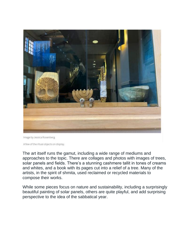

Image by Jessica Rosenberg

A few of the ritual objects on display.

The art itself runs the gamut, including a wide range of mediums and approaches to the topic. There are collages and photos with images of trees, solar panels and fields. There's a stunning cashmere tallit in tones of creams and whites, and a book with its pages cut into a relief of a tree. Many of the artists, in the spirit of shmita, used reclaimed or recycled materials to compose their works.

While some pieces focus on nature and sustainability, including a surprisingly beautiful painting of solar panels, others are quite playful, and add surprising perspective to the idea of the sabbatical year.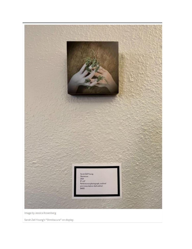

Image by Jessica Rosenberg

Sarah Zell Young's "Shmitacure" on display.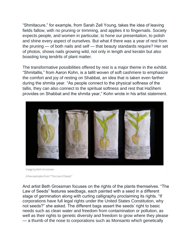"Shmitacure," for example, from Sarah Zell Young, takes the idea of leaving fields fallow, with no pruning or trimming, and applies it to fingernails. Society expects people, and women in particular, to hone our presentation, to polish and shine every aspect of ourselves. But what if there was a year of rest from the pruning — of both nails and self — that beauty standards require? Her set of photos, shows nails growing wild, not only in length and keratin but also boasting long tendrils of plant matter.

The transformative possibilities offered by rest is a major theme in the exhibit. "Shmitallis," from Aaron Kohn, is a tallit woven of soft cashmere to emphasize the comfort and joy of resting on Shabbat, an idea that is taken even farther during the shmita year. "As people connect to the physical softness of the tallis, they can also connect to the spiritual softness and rest that HaShem provides on Shabbat and the shmita year," Kohn wrote in his artist statement.



Image by Beth Grossman

And artist Beth Grossman focuses on the rights of the plants themselves. "The Law of Seeds" features seedbags, each painted with a seed in a different stage of germination along with curling calligraphy proclaiming its rights. "If corporations have full legal rights under the United States Constitution, why not seeds?" she asked. The different bags assert the seeds' right to basic needs such as clean water and freedom from contamination or pollution, as well as their rights to genetic diversity and freedom to grow where they please — a thumb of the nose to corporations such as Monsanto which genetically

A few examples from "The Law of Seeds"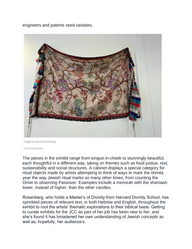engineers and patents seed varieties.



Image by Jessica Rosenberg

One of the tallits.

The pieces in the exhibit range from tongue-in-cheek to stunningly beautiful, each thoughtful in a different way, taking on themes such as food justice, rest, sustainability and social structures. A cabinet displays a special category for ritual objects made by artists attempting to think of ways to mark the shmita year the way Jewish ritual marks so many other times, from counting the Omer to observing Passover. Examples include a menorah with the shamash lower, instead of higher, than the other candles.

Rosenberg, who holds a Master's of Divinity from Harvard Divinity School, has sprinkled pieces of relevant text, in both Hebrew and English, throughout the exhibit to root the artists' thematic explorations to their biblical basis. Getting to curate exhibits for the JCC as part of her job has been new to her, and she's found it has broadened her own understanding of Jewish concepts as well as, hopefully, her audience's.